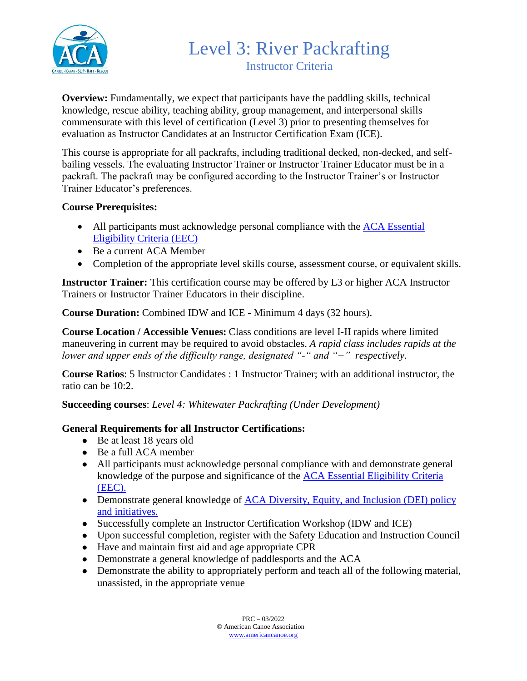

**Overview:** Fundamentally, we expect that participants have the paddling skills, technical knowledge, rescue ability, teaching ability, group management, and interpersonal skills commensurate with this level of certification (Level 3) prior to presenting themselves for evaluation as Instructor Candidates at an Instructor Certification Exam (ICE).

This course is appropriate for all packrafts, including traditional decked, non-decked, and selfbailing vessels. The evaluating Instructor Trainer or Instructor Trainer Educator must be in a packraft. The packraft may be configured according to the Instructor Trainer's or Instructor Trainer Educator's preferences.

#### **Course Prerequisites:**

- All participants must acknowledge personal compliance with the ACA Essential [Eligibility Criteria \(EEC\)](https://americancanoe.org/essential-eligibility-criteria/)
- Be a current ACA Member
- Completion of the appropriate level skills course, assessment course, or equivalent skills.

**Instructor Trainer:** This certification course may be offered by L3 or higher ACA Instructor Trainers or Instructor Trainer Educators in their discipline.

**Course Duration:** Combined IDW and ICE - Minimum 4 days (32 hours).

**Course Location / Accessible Venues:** Class conditions are level I-II rapids where limited maneuvering in current may be required to avoid obstacles. *A rapid class includes rapids at the lower and upper ends of the difficulty range, designated "-" and "+" respectively.*

**Course Ratios**: 5 Instructor Candidates : 1 Instructor Trainer; with an additional instructor, the ratio can be 10:2.

**Succeeding courses**: *Level 4: Whitewater Packrafting (Under Development)*

### **General Requirements for all Instructor Certifications:**

- Be at least 18 years old
- Be a full ACA member
- All participants must acknowledge personal compliance with and demonstrate general knowledge of the purpose and significance of the [ACA Essential Eligibility Criteria](https://americancanoe.org/essential-eligibility-criteria/)  [\(EEC\).](https://americancanoe.org/essential-eligibility-criteria/)
- Demonstrate general knowledge of ACA Diversity, Equity, and Inclusion (DEI) policy [and initiatives.](https://americancanoe.org/dei/)
- Successfully complete an Instructor Certification Workshop (IDW and ICE)
- Upon successful completion, register with the Safety Education and Instruction Council
- Have and maintain first aid and age appropriate CPR
- Demonstrate a general knowledge of paddlesports and the ACA
- Demonstrate the ability to appropriately perform and teach all of the following material, unassisted, in the appropriate venue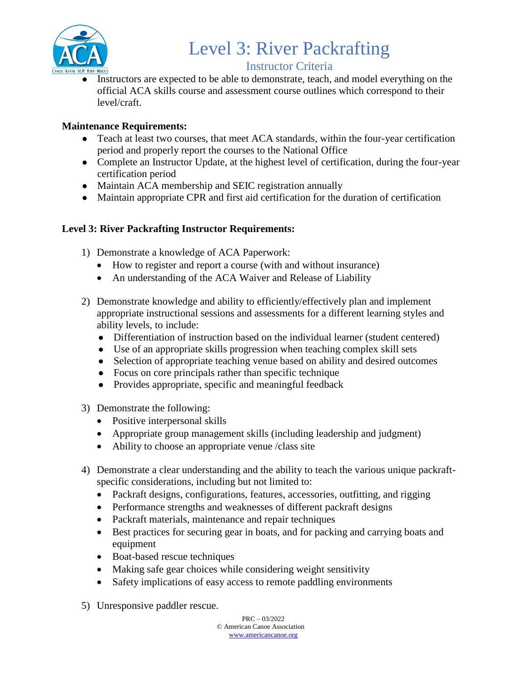

# Level 3: River Packrafting

## Instructor Criteria

Instructors are expected to be able to demonstrate, teach, and model everything on the official ACA skills course and assessment course outlines which correspond to their level/craft.

## **Maintenance Requirements:**

- Teach at least two courses, that meet ACA standards, within the four-year certification period and properly report the courses to the National Office
- Complete an Instructor Update, at the highest level of certification, during the four-year certification period
- Maintain ACA membership and SEIC registration annually
- Maintain appropriate CPR and first aid certification for the duration of certification

## **Level 3: River Packrafting Instructor Requirements:**

- 1) Demonstrate a knowledge of ACA Paperwork:
	- How to register and report a course (with and without insurance)
	- An understanding of the ACA Waiver and Release of Liability
- 2) Demonstrate knowledge and ability to efficiently/effectively plan and implement appropriate instructional sessions and assessments for a different learning styles and ability levels, to include:
	- Differentiation of instruction based on the individual learner (student centered)
	- Use of an appropriate skills progression when teaching complex skill sets
	- Selection of appropriate teaching venue based on ability and desired outcomes
	- Focus on core principals rather than specific technique
	- Provides appropriate, specific and meaningful feedback
- 3) Demonstrate the following:
	- Positive interpersonal skills
	- Appropriate group management skills (including leadership and judgment)
	- Ability to choose an appropriate venue /class site
- 4) Demonstrate a clear understanding and the ability to teach the various unique packraftspecific considerations, including but not limited to:
	- Packraft designs, configurations, features, accessories, outfitting, and rigging
	- Performance strengths and weaknesses of different packraft designs
	- Packraft materials, maintenance and repair techniques
	- Best practices for securing gear in boats, and for packing and carrying boats and equipment
	- Boat-based rescue techniques
	- Making safe gear choices while considering weight sensitivity
	- Safety implications of easy access to remote paddling environments
- 5) Unresponsive paddler rescue.